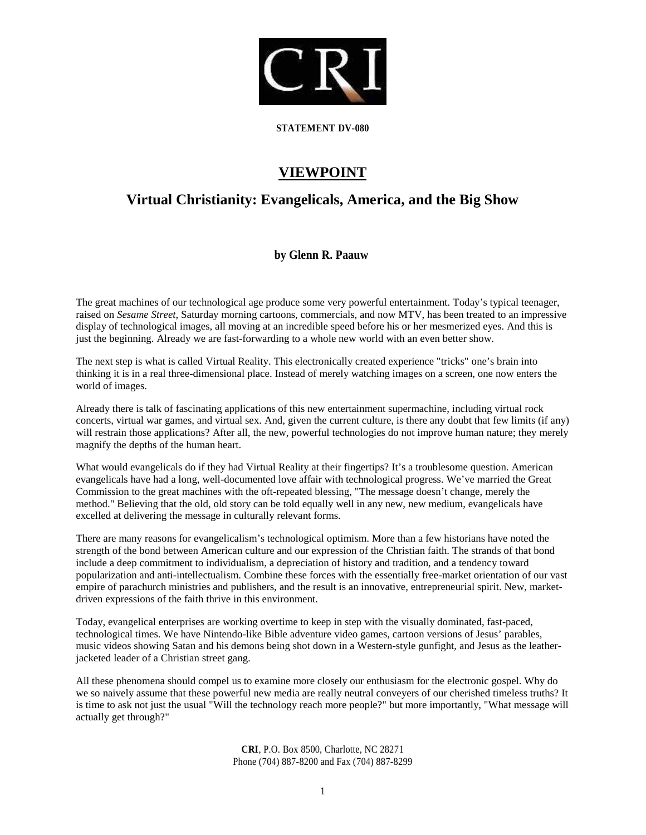

**STATEMENT DV-080**

## **VIEWPOINT**

## **Virtual Christianity: Evangelicals, America, and the Big Show**

## **by Glenn R. Paauw**

The great machines of our technological age produce some very powerful entertainment. Today's typical teenager, raised on *Sesame Street*, Saturday morning cartoons, commercials, and now MTV, has been treated to an impressive display of technological images, all moving at an incredible speed before his or her mesmerized eyes. And this is just the beginning. Already we are fast-forwarding to a whole new world with an even better show.

The next step is what is called Virtual Reality. This electronically created experience "tricks" one's brain into thinking it is in a real three-dimensional place. Instead of merely watching images on a screen, one now enters the world of images.

Already there is talk of fascinating applications of this new entertainment supermachine, including virtual rock concerts, virtual war games, and virtual sex. And, given the current culture, is there any doubt that few limits (if any) will restrain those applications? After all, the new, powerful technologies do not improve human nature; they merely magnify the depths of the human heart.

What would evangelicals do if they had Virtual Reality at their fingertips? It's a troublesome question. American evangelicals have had a long, well-documented love affair with technological progress. We've married the Great Commission to the great machines with the oft-repeated blessing, "The message doesn't change, merely the method." Believing that the old, old story can be told equally well in any new, new medium, evangelicals have excelled at delivering the message in culturally relevant forms.

There are many reasons for evangelicalism's technological optimism. More than a few historians have noted the strength of the bond between American culture and our expression of the Christian faith. The strands of that bond include a deep commitment to individualism, a depreciation of history and tradition, and a tendency toward popularization and anti-intellectualism. Combine these forces with the essentially free-market orientation of our vast empire of parachurch ministries and publishers, and the result is an innovative, entrepreneurial spirit. New, marketdriven expressions of the faith thrive in this environment.

Today, evangelical enterprises are working overtime to keep in step with the visually dominated, fast-paced, technological times. We have Nintendo-like Bible adventure video games, cartoon versions of Jesus' parables, music videos showing Satan and his demons being shot down in a Western-style gunfight, and Jesus as the leatherjacketed leader of a Christian street gang.

All these phenomena should compel us to examine more closely our enthusiasm for the electronic gospel. Why do we so naively assume that these powerful new media are really neutral conveyers of our cherished timeless truths? It is time to ask not just the usual "Will the technology reach more people?" but more importantly, "What message will actually get through?"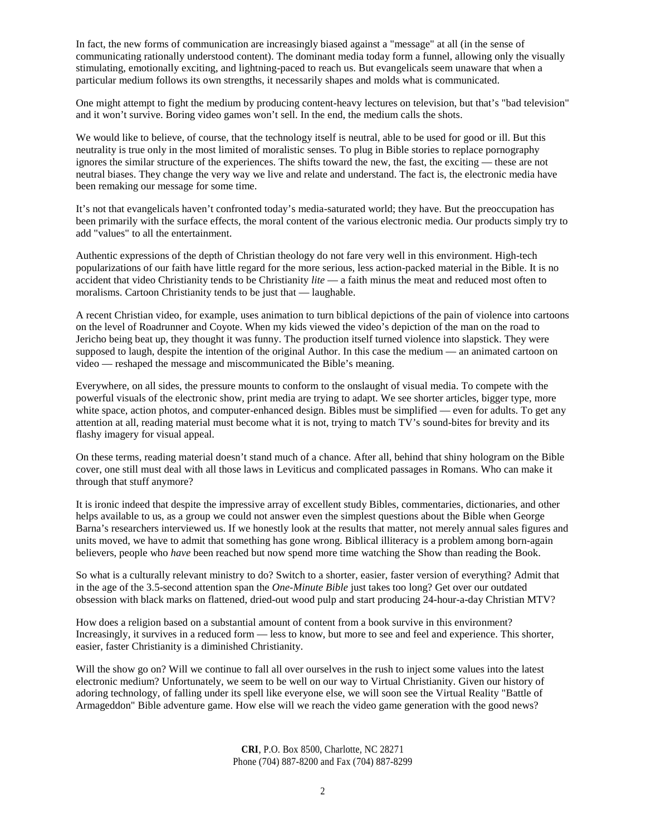In fact, the new forms of communication are increasingly biased against a "message" at all (in the sense of communicating rationally understood content). The dominant media today form a funnel, allowing only the visually stimulating, emotionally exciting, and lightning-paced to reach us. But evangelicals seem unaware that when a particular medium follows its own strengths, it necessarily shapes and molds what is communicated.

One might attempt to fight the medium by producing content-heavy lectures on television, but that's "bad television" and it won't survive. Boring video games won't sell. In the end, the medium calls the shots.

We would like to believe, of course, that the technology itself is neutral, able to be used for good or ill. But this neutrality is true only in the most limited of moralistic senses. To plug in Bible stories to replace pornography ignores the similar structure of the experiences. The shifts toward the new, the fast, the exciting — these are not neutral biases. They change the very way we live and relate and understand. The fact is, the electronic media have been remaking our message for some time.

It's not that evangelicals haven't confronted today's media-saturated world; they have. But the preoccupation has been primarily with the surface effects, the moral content of the various electronic media. Our products simply try to add "values" to all the entertainment.

Authentic expressions of the depth of Christian theology do not fare very well in this environment. High-tech popularizations of our faith have little regard for the more serious, less action-packed material in the Bible. It is no accident that video Christianity tends to be Christianity *lite* — a faith minus the meat and reduced most often to moralisms. Cartoon Christianity tends to be just that — laughable.

A recent Christian video, for example, uses animation to turn biblical depictions of the pain of violence into cartoons on the level of Roadrunner and Coyote. When my kids viewed the video's depiction of the man on the road to Jericho being beat up, they thought it was funny. The production itself turned violence into slapstick. They were supposed to laugh, despite the intention of the original Author. In this case the medium — an animated cartoon on video — reshaped the message and miscommunicated the Bible's meaning.

Everywhere, on all sides, the pressure mounts to conform to the onslaught of visual media. To compete with the powerful visuals of the electronic show, print media are trying to adapt. We see shorter articles, bigger type, more white space, action photos, and computer-enhanced design. Bibles must be simplified — even for adults. To get any attention at all, reading material must become what it is not, trying to match TV's sound-bites for brevity and its flashy imagery for visual appeal.

On these terms, reading material doesn't stand much of a chance. After all, behind that shiny hologram on the Bible cover, one still must deal with all those laws in Leviticus and complicated passages in Romans. Who can make it through that stuff anymore?

It is ironic indeed that despite the impressive array of excellent study Bibles, commentaries, dictionaries, and other helps available to us, as a group we could not answer even the simplest questions about the Bible when George Barna's researchers interviewed us. If we honestly look at the results that matter, not merely annual sales figures and units moved, we have to admit that something has gone wrong. Biblical illiteracy is a problem among born-again believers, people who *have* been reached but now spend more time watching the Show than reading the Book.

So what is a culturally relevant ministry to do? Switch to a shorter, easier, faster version of everything? Admit that in the age of the 3.5-second attention span the *One-Minute Bible* just takes too long? Get over our outdated obsession with black marks on flattened, dried-out wood pulp and start producing 24-hour-a-day Christian MTV?

How does a religion based on a substantial amount of content from a book survive in this environment? Increasingly, it survives in a reduced form — less to know, but more to see and feel and experience. This shorter, easier, faster Christianity is a diminished Christianity.

Will the show go on? Will we continue to fall all over ourselves in the rush to inject some values into the latest electronic medium? Unfortunately, we seem to be well on our way to Virtual Christianity. Given our history of adoring technology, of falling under its spell like everyone else, we will soon see the Virtual Reality "Battle of Armageddon" Bible adventure game. How else will we reach the video game generation with the good news?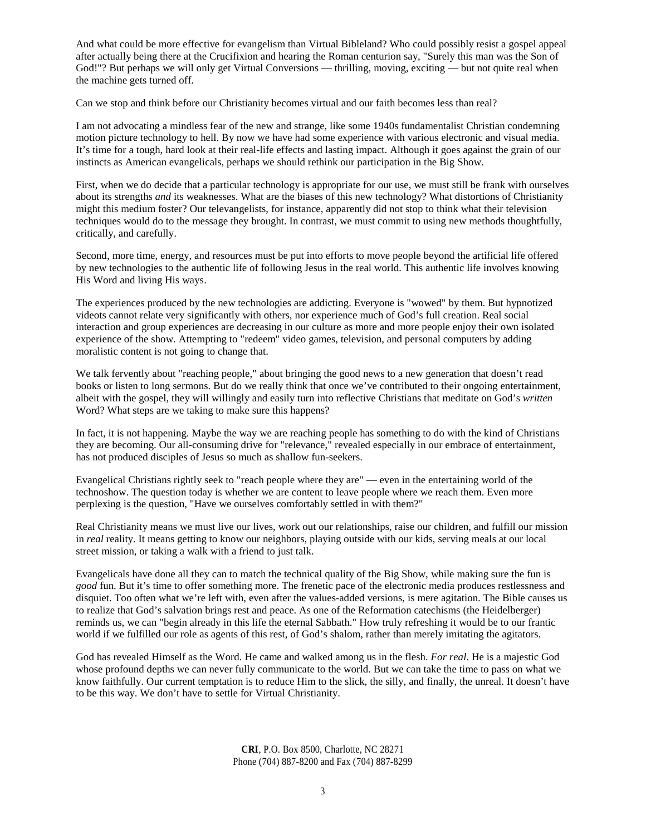And what could be more effective for evangelism than Virtual Bibleland? Who could possibly resist a gospel appeal after actually being there at the Crucifixion and hearing the Roman centurion say, "Surely this man was the Son of God!"? But perhaps we will only get Virtual Conversions — thrilling, moving, exciting — but not quite real when the machine gets turned off.

Can we stop and think before our Christianity becomes virtual and our faith becomes less than real?

I am not advocating a mindless fear of the new and strange, like some 1940s fundamentalist Christian condemning motion picture technology to hell. By now we have had some experience with various electronic and visual media. It's time for a tough, hard look at their real-life effects and lasting impact. Although it goes against the grain of our instincts as American evangelicals, perhaps we should rethink our participation in the Big Show.

First, when we do decide that a particular technology is appropriate for our use, we must still be frank with ourselves about its strengths *and* its weaknesses. What are the biases of this new technology? What distortions of Christianity might this medium foster? Our televangelists, for instance, apparently did not stop to think what their television techniques would do to the message they brought. In contrast, we must commit to using new methods thoughtfully, critically, and carefully.

Second, more time, energy, and resources must be put into efforts to move people beyond the artificial life offered by new technologies to the authentic life of following Jesus in the real world. This authentic life involves knowing His Word and living His ways.

The experiences produced by the new technologies are addicting. Everyone is "wowed" by them. But hypnotized videots cannot relate very significantly with others, nor experience much of God's full creation. Real social interaction and group experiences are decreasing in our culture as more and more people enjoy their own isolated experience of the show. Attempting to "redeem" video games, television, and personal computers by adding moralistic content is not going to change that.

We talk fervently about "reaching people," about bringing the good news to a new generation that doesn't read books or listen to long sermons. But do we really think that once we've contributed to their ongoing entertainment, albeit with the gospel, they will willingly and easily turn into reflective Christians that meditate on God's *written* Word? What steps are we taking to make sure this happens?

In fact, it is not happening. Maybe the way we are reaching people has something to do with the kind of Christians they are becoming. Our all-consuming drive for "relevance," revealed especially in our embrace of entertainment, has not produced disciples of Jesus so much as shallow fun-seekers.

Evangelical Christians rightly seek to "reach people where they are" — even in the entertaining world of the technoshow. The question today is whether we are content to leave people where we reach them. Even more perplexing is the question, "Have we ourselves comfortably settled in with them?"

Real Christianity means we must live our lives, work out our relationships, raise our children, and fulfill our mission in *real* reality. It means getting to know our neighbors, playing outside with our kids, serving meals at our local street mission, or taking a walk with a friend to just talk.

Evangelicals have done all they can to match the technical quality of the Big Show, while making sure the fun is *good* fun. But it's time to offer something more. The frenetic pace of the electronic media produces restlessness and disquiet. Too often what we're left with, even after the values-added versions, is mere agitation. The Bible causes us to realize that God's salvation brings rest and peace. As one of the Reformation catechisms (the Heidelberger) reminds us, we can "begin already in this life the eternal Sabbath." How truly refreshing it would be to our frantic world if we fulfilled our role as agents of this rest, of God's shalom, rather than merely imitating the agitators.

God has revealed Himself as the Word. He came and walked among us in the flesh. *For real*. He is a majestic God whose profound depths we can never fully communicate to the world. But we can take the time to pass on what we know faithfully. Our current temptation is to reduce Him to the slick, the silly, and finally, the unreal. It doesn't have to be this way. We don't have to settle for Virtual Christianity.